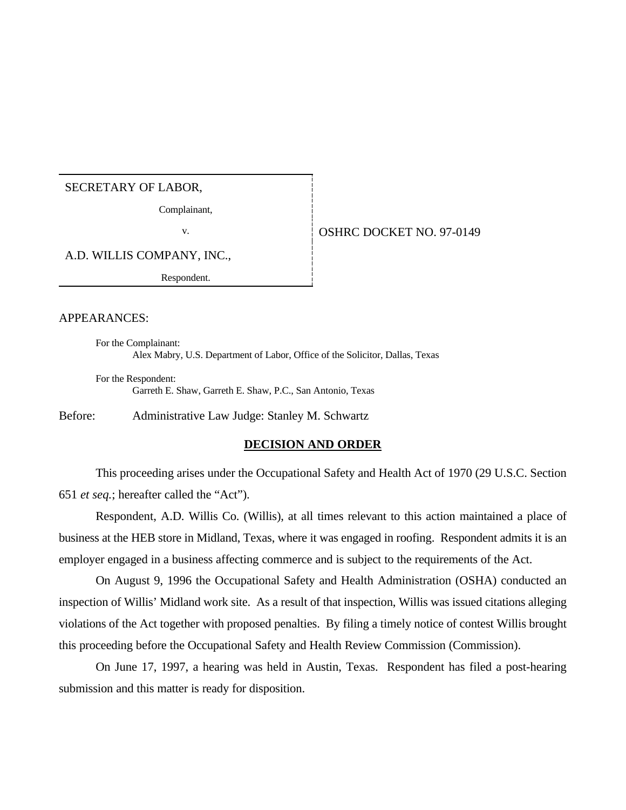## SECRETARY OF LABOR,

Complainant,

v. STREET NO. 97-0149

A.D. WILLIS COMPANY, INC.,

Respondent.

## APPEARANCES:

For the Complainant: Alex Mabry, U.S. Department of Labor, Office of the Solicitor, Dallas, Texas

For the Respondent: Garreth E. Shaw, Garreth E. Shaw, P.C., San Antonio, Texas

Before: Administrative Law Judge: Stanley M. Schwartz

## **DECISION AND ORDER**

This proceeding arises under the Occupational Safety and Health Act of 1970 (29 U.S.C. Section 651 *et seq.*; hereafter called the "Act").

Respondent, A.D. Willis Co. (Willis), at all times relevant to this action maintained a place of business at the HEB store in Midland, Texas, where it was engaged in roofing. Respondent admits it is an employer engaged in a business affecting commerce and is subject to the requirements of the Act.

On August 9, 1996 the Occupational Safety and Health Administration (OSHA) conducted an inspection of Willis' Midland work site. As a result of that inspection, Willis was issued citations alleging violations of the Act together with proposed penalties. By filing a timely notice of contest Willis brought this proceeding before the Occupational Safety and Health Review Commission (Commission).

On June 17, 1997, a hearing was held in Austin, Texas. Respondent has filed a post-hearing submission and this matter is ready for disposition.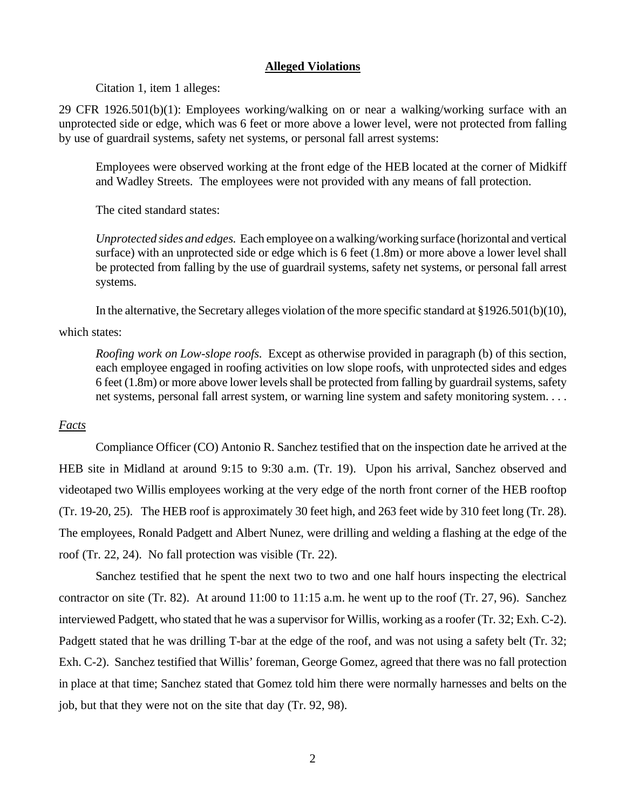#### **Alleged Violations**

Citation 1, item 1 alleges:

29 CFR 1926.501(b)(1): Employees working/walking on or near a walking/working surface with an unprotected side or edge, which was 6 feet or more above a lower level, were not protected from falling by use of guardrail systems, safety net systems, or personal fall arrest systems:

Employees were observed working at the front edge of the HEB located at the corner of Midkiff and Wadley Streets. The employees were not provided with any means of fall protection.

The cited standard states:

*Unprotected sides and edges.* Each employee on a walking/working surface (horizontal and vertical surface) with an unprotected side or edge which is 6 feet (1.8m) or more above a lower level shall be protected from falling by the use of guardrail systems, safety net systems, or personal fall arrest systems.

In the alternative, the Secretary alleges violation of the more specific standard at §1926.501(b)(10),

#### which states:

*Roofing work on Low-slope roofs.* Except as otherwise provided in paragraph (b) of this section, each employee engaged in roofing activities on low slope roofs, with unprotected sides and edges 6 feet (1.8m) or more above lower levels shall be protected from falling by guardrail systems, safety net systems, personal fall arrest system, or warning line system and safety monitoring system. . . .

# *Facts*

Compliance Officer (CO) Antonio R. Sanchez testified that on the inspection date he arrived at the HEB site in Midland at around 9:15 to 9:30 a.m. (Tr. 19). Upon his arrival, Sanchez observed and videotaped two Willis employees working at the very edge of the north front corner of the HEB rooftop (Tr. 19-20, 25). The HEB roof is approximately 30 feet high, and 263 feet wide by 310 feet long (Tr. 28). The employees, Ronald Padgett and Albert Nunez, were drilling and welding a flashing at the edge of the roof (Tr. 22, 24). No fall protection was visible (Tr. 22).

Sanchez testified that he spent the next two to two and one half hours inspecting the electrical contractor on site (Tr. 82). At around 11:00 to 11:15 a.m. he went up to the roof (Tr. 27, 96). Sanchez interviewed Padgett, who stated that he was a supervisor for Willis, working as a roofer (Tr. 32; Exh. C-2). Padgett stated that he was drilling T-bar at the edge of the roof, and was not using a safety belt (Tr. 32; Exh. C-2). Sanchez testified that Willis' foreman, George Gomez, agreed that there was no fall protection in place at that time; Sanchez stated that Gomez told him there were normally harnesses and belts on the job, but that they were not on the site that day (Tr. 92, 98).